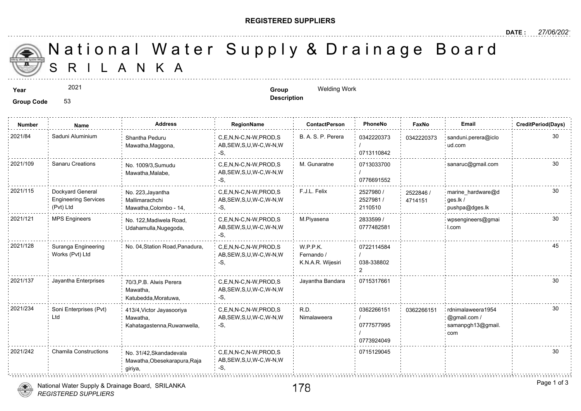## **REGISTERED SUPPLIERS**

**Description**

A N K A National Water Supply & Drainage

## **Year Group** Welding Work 2021

**Group Code** 53

**Number Name Address RegionName ContactPerson PhoneNo FaxNo Email CreditPeriod(Days)** 2021/84 : Saduni Aluminium : Shantha Peduru . C,E,N,N-C,N-W,PROD,S : B. A. S. P. Perera : 0342220373 : 034222 Shantha Peduru 0342220373 034222 AB,SEW,S,U,W-C,W-N,W Mawatha,Maggona, / -S, 0713110842 2021/109 Sanaru Creations No. 1009/3,Sumudu C,E,N,N-C,N-W,PROD,S M. Gunaratne 0713033700 No. 1009/3,Sumudu 0713033700 AB,SEW,S,U,W-C,W-N,W Mawatha,Malabe, / 0776691552 -S, 2021/115 Dockyard General No. 223, Jayantha C,E,N,N-C,N-W,PROD,S F.J.L. Felix 2527980 / 2527880 / 25278 Dockyard General 2527980 / No. 223,Jayantha 25228 Engineering Services AB,SEW,S,U,W-C,W-N,W 2527981 / Mallimarachchi 471415 (Pvt) Ltd 2110510 Mawatha,Colombo - 14, -S, 2021/121 MPS Engineers No. 122,Madiwela Road, C,E,N,N-C,N-W,PROD,S M.Piyasena 2833599 / C,E,N,N-C,N-W,PROD,S M.Piyasena 2833599 / 30 AB,SEW,S,U,W-C,W-N,W 0777482581 Udahamulla,Nugegoda, -S, 2021/128 Suranga Engineering No. 04, Station Road, Panadura, C,E,N,N-C,N-W,PROD,S W.P.P.K. 0722114584 Works (Pvt) Ltd AB,SEW,S,U,W-C,W-N,W Fernando / / 038-338802 -S, K.N.A.R. Wijesiri  $\mathfrak{p}$ 2021/137 Jayantha Enterprises C,E,N,N-C,N-W,PROD,S Jayantha Bandara 0715317661 70/3,P.B. Alwis Perera Mawatha, AB,SEW,S,U,W-C,W-N,W Katubedda,Moratuwa, -S, 2021/234 Soni Enterprises (Pvt) 413/4, Victor Jayasooriya C,E,N,N-C,N-W,PROD,S R.D. 20362266151 0362266151 Soni Enterprises (Pvt) R.D. 413/4,Victor Jayasooriya 0362266151 036226 Ltd AB,SEW,S,U,W-C,W-N,W Nimalaweera Mawatha, / -S, 0777577995 Kahatagastenna,Ruwanwella, / 0773924049 2021/242 Chamila Constructions No. 31/42,Skandadevala C,E,N,N-C,N-W,PROD,S 0715129045 Mawatha,Obesekarapura,Raja AB,SEW,S,U,W-C,W-N,W  $-S$ giriya, 

National Water Supply & Drainage Board, SRILANKA

*REGISTERED SUPPLIERS*

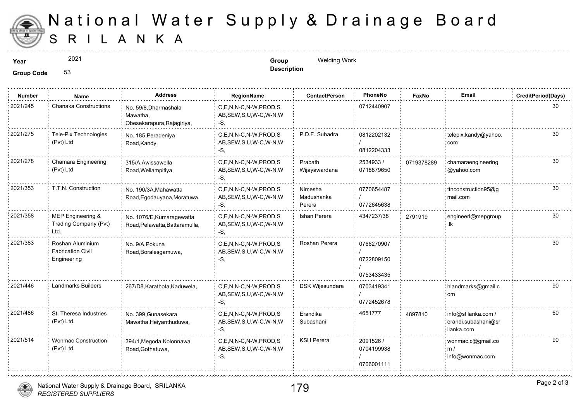

## S R I L A N K A National Water Supply & Drainage

2021

**Year Group** Welding Work **Description**

**Group Code** 53

| <b>Number</b> | Name                                                        | <b>Address</b>                                                  | RegionName                                                | <b>ContactPerson</b>            | PhoneNo                                | Faxl   |
|---------------|-------------------------------------------------------------|-----------------------------------------------------------------|-----------------------------------------------------------|---------------------------------|----------------------------------------|--------|
| 2021/245      | <b>Chanaka Constructions</b>                                | No. 59/8, Dharmashala<br>Mawatha,<br>Obesekarapura, Rajagiriya, | C,E,N,N-C,N-W,PROD,S<br>AB, SEW, S, U, W-C, W-N, W<br>-S, |                                 | 0712440907                             |        |
| 2021/275      | Tele-Pix Technologies<br>(Pvt) Ltd                          | No. 185, Peradeniya<br>Road, Kandy,                             | C.E.N.N-C.N-W.PROD.S<br>AB, SEW, S, U, W-C, W-N, W<br>-S. | P.D.F. Subadra                  | 0812202132<br>0812204333               |        |
| 2021/278      | Chamara Engineering<br>(Pvt) Ltd                            | 315/A.Awissawella<br>Road, Wellampitiva,                        | C,E,N,N-C,N-W,PROD,S<br>AB, SEW, S, U, W-C, W-N, W<br>-S, | Prabath<br>Wijayawardana        | 2534933 /<br>0718879650                | 071937 |
| 2021/353      | T.T.N. Construction                                         | No. 190/3A, Mahawatta<br>Road, Egodauyana, Moratuwa,            | C,E,N,N-C,N-W,PROD,S<br>AB, SEW, S, U, W-C, W-N, W<br>-S. | Nimesha<br>Madushanka<br>Perera | 0770654487<br>0772645638               |        |
| 2021/358      | MEP Engineering &<br>Trading Company (Pvt)<br>Ltd.          | No. 1076/E, Kumaragewatta<br>Road, Pelawatta, Battaramulla,     | C.E.N.N-C.N-W.PROD.S<br>AB, SEW, S, U, W-C, W-N, W<br>-S. | Ishan Perera                    | 4347237/38                             | 279191 |
| 2021/383      | Roshan Aluminium<br><b>Fabrication Civil</b><br>Engineering | No. 9/A, Pokuna<br>Road, Boralesgamuwa,                         | C.E.N.N-C.N-W.PROD.S<br>AB, SEW, S, U, W-C, W-N, W<br>-S. | Roshan Perera                   | 0766270907<br>0722809150<br>0753433435 |        |
| 2021/446      | Landmarks Builders                                          | 267/D8, Karathota, Kaduwela,                                    | C,E,N,N-C,N-W,PROD,S<br>AB, SEW, S, U, W-C, W-N, W<br>-S, | DSK Wijesundara                 | 0703419341<br>0772452678               |        |
| 2021/486      | St. Theresa Industries<br>(Pvt) Ltd.                        | No. 399, Gunasekara<br>Mawatha, Heiyanthuduwa,                  | C,E,N,N-C,N-W,PROD,S<br>AB, SEW, S, U, W-C, W-N, W<br>-S, | Erandika<br>Subashani           | 4651777                                | 489781 |
| 2021/514      | <b>Wonmac Construction</b><br>(Pvt) Ltd.                    | 394/1, Megoda Kolonnawa<br>Road, Gothatuwa,                     | C.E.N.N-C.N-W.PROD.S<br>AB, SEW, S, U, W-C, W-N, W<br>-S. | <b>KSH Perera</b>               | 2091526 /<br>0704199938<br>0706001111  |        |



t.

*REGISTERED SUPPLIERS* National Water Supply & Drainage Board, SRILANKA